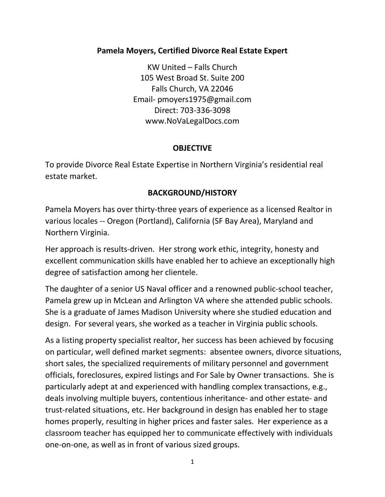Pamela Moyers, Certified Divorce Real Estate Expert<br>KW United – Falls Church<br>105 West Broad St. Suite 200<br>Falls Church, VA 22046 rs, Certified Divorce Real Estate Expert<br>KW United – Falls Church<br>05 West Broad St. Suite 200<br>Falls Church, VA 22046<br>iil- pmoyers1975@gmail.com<br>Direct: 703-336-3098 pers, Certified Divorce Real Estate Expert<br>
KW United – Falls Church<br>
105 West Broad St. Suite 200<br>
Falls Church, VA 22046<br>
mail- pmoyers1975@gmail.com<br>
Direct: 703-336-3098<br>
www.NoVaLegalDocs.com s, Certified Divorce Real Estate Expert<br>W United – Falls Church<br>5 West Broad St. Suite 200<br>Falls Church, VA 22046<br>I- pmoyers1975@gmail.com<br>Direct: 703-336-3098<br>ww.NoVaLegalDocs.com oyers, Certified Divorce Real Estate Expert<br>
KW United – Falls Church<br>
105 West Broad St. Suite 200<br>
Falls Church, VA 22046<br>
Email- pmoyers1975@gmail.com<br>
Direct: 703-336-3098<br>
www.NoVaLegalDocs.com Certified Divorce Real Estate Expert<br>
W United – Falls Church<br>
West Broad St. Suite 200<br>
Calls Church, VA 22046<br>
P pmoyers1975@gmail.com<br>
Direct: 703-336-3098<br>
WW.NoVaLegalDocs.com<br> **OBJECTIVE** www.NoVaLegalDocs.com Pamela Moyers, Certified Divorce Real Estate Expert<br>
KW United – Falls Church<br>
105 West Broad St. Suite 200<br>
Falls Church, VA 22046<br>
Email- pmoyers1975@gmail.com<br>
Direct: 703-336-3098<br>
www.NoVaLegalDocs.com<br> **OBJECTIVE**<br>
T Pamela Moyers, Certified Divorce Real Estate Exp<br>
KW United - Falls Church<br>
105 West Broad St. Suite 200<br>
Falls Church, VA 22046<br>
Email- pmoyers1975@gmail.com<br>
Direct: 703-336-3098<br>
www.NoVaLegalDocs.com<br> **OBJECTIVE**<br>
To p

## **OBJECTIVE**

# BACKGROUND/HISTORY

Famela Moyers, ceramea Divorce Real Estate Experience<br>
IOS West Broad St. Suite 200<br>
Falls Church, VA 22046<br>
Email- pmoyers1975@gmail.com<br>
Direct: 703-336-3098<br>
www.NoVaLegalDocs.com<br> **OBJECTIVE**<br>
To provide Divorce Real E KW United – Falls Church<br>
105 West Broad St. Suite 200<br>
Falls Church, VA 22046<br>
Email- pmoyers1975@gmail.com<br>
Direct: 703-336-3098<br>
www.NoVaLegalDocs.com<br> **OBJECTIVE**<br>
To provide Divorce Real Estate Expertise in Northern V

105 West Broad St. Suite 200<br>
Falls Church, VA 22046<br>
Email-ommopers1975@gmail.com<br>
Direct: 703-336-3098<br>
www.NoVaLegalDocs.com<br> **OBJECTIVE**<br>
To provide Divorce Real Estate Expertise in Northern Virginia's reside<br>
estate m Email- pmoyers1975@gmail.com<br>Direct: 703-336-3098<br>www.NoVaLegalDocs.com<br>**OBJECTIVE**<br>To provide Divorce Real Estate Expertise in Northern Virginia's residential real<br>estate market.<br>**BACKGROUND/HISTORY**<br>Pamela Moyers has ove Direct: 703-336-3098<br>
www.NoValegalDocs.com<br> **OBJECTIVE**<br>
To provide Divorce Real Estate Expertise in Northern Virginia's residential real<br>
estate market.<br> **BACKGROUND/HISTORY**<br>
Pamela Moyers has over thirty-three years of

WWW.NoVaLegalDocs.com<br> **OBJECTIVE**<br>
To provide Divorce Real Estate Expertise in Northern Virginia's residential real<br>
estate market.<br> **BACKGROUND/HISTORY**<br>
Pamela Moyers has over thirty-three years of experience as a licen **CHAUSE CONSECTIVE**<br> **CHAUSE OF A SERVIDE CONSECT AND MOTE CONSECT AND A FIGURE OF A GACKGROUND/HISTORY**<br> **Pamela Moyers has over thirty-three years of experience as a licensed Realtor in**<br>
various locales -- Oregon (Portl **DBIECTIVE**<br> **Pamela Divorce Real Estate Expertise in Northern Virginia's residential real**<br> **BACKGROUND/HISTORY**<br> **Pamela Moyers has over thirty-three years of experience as a licensed Realtor in**<br>
various locales -- Oreg To provide Divorce Real Estate Expertise in Northern Virginia's residential real<br>estate market.<br>**BACKGROUND/HISTORY**<br>Pamela Moyers has over thirty-three years of experience as a licensed Realtor in<br>various locales – Oregon design. **BACKGROUND/HISTORY**<br> **BACKGROUND/HISTORY**<br> **Pamela Moyers has over thirty-three years of experience as a licensed Realtor in**<br>
various locales -- Oregon (Portland), California (SF Bay Area), Maryland and<br>
Northern

**BACKGROUND/HISTORY**<br> **Pamela Moyers has over thirty-three years of experience as a licensed Realtor in**<br>
various locales -- Oregon (Portland), California (SF Bay Area), Maryland and<br>
Northern Virginia.<br>
Her approach is re Pamela Moyers has over thirty-three years of experience as a licensed Realtor in<br>Various locales -- Oregon (Portland), California (SF Bay Area), Maryland and<br>Northern Virginia.<br>Her approach is results-driven. Her strong wo Pamela Moyers has over thirty-three years of experience as a licensed Realtor in<br>various locales -- Oregon (Portland), California (SF Bay Area), Maryland and<br>Northern Virginia.<br>Her approach is results-driven. Her strong wo various locales -- Oregon (Portland), California (SF Bay Area), Maryland and<br>Northern Virginia.<br>Her approach is results-driven. Her strong work ethic, integrity, honesty and<br>excellent communication skills have enabled her Northern Virginia.<br>
Her approach is results-driven. Her strong work ethic, integrity, honesty and<br>
excellent communication skills have enabled her to achieve an exceptionally high<br>
degree of satisfaction among her clientel Her approach is results-driven. Her strong work ethic, integrity, honesty and<br>excellent communication skills have enabled her to achieve an exceptionally high<br>degree of satisfaction among her clientele.<br>The daughter of a s excellent communication skills have enabled her to achieve an exceptionally high<br>degree of satisfaction among her clientele.<br>The daughter of a senior US Naval officer and a renowned public-school teacher,<br>Pamela grew up in degree of satisfaction among her clientele.<br>The daughter of a senior US Naval officer and a renowned public-school teacher,<br>Pamela grew up in McLean and Arlington VA where she attended public schools.<br>She is a graduate of The daughter of a senior US Naval officer and a renowned public-school teacher,<br>The daughter of a senior US Naval officer and a renowned public schools.<br>She is a graduate of James Madison University where she attended publ The daughter of a senior US Naval officer and a renowned public-school teacher,<br>Pamela grew up in McLean and Arilington VA where she attended public schools.<br>She is a graduate of James Madison University where she studied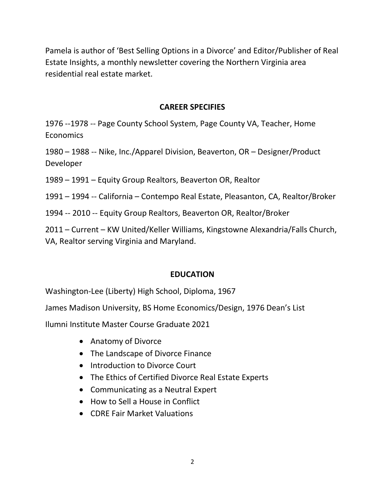Pamela is author of 'Best Selling Options in a Divorce' and Editor/Publisher of Real<br>Estate Insights, a monthly newsletter covering the Northern Virginia area<br>residential real estate market. Pamela is author of 'Best Selling Options in a Divorce' and Editor/Publisher of Real<br>Estate Insights, a monthly newsletter covering the Northern Virginia area<br>residential real estate market.<br>CAREER SPECIFIES Pamela is author of 'Best Selling Options in a Divorce' and Editor/Publisher of Re<br>Estate Insights, a monthly newsletter covering the Northern Virginia area<br>residential real estate market.<br>**CAREER SPECIFIES** Options in a Divorce' and Editor/Publisher of Real<br>etter covering the Northern Virginia area<br>CAREER SPECIFIES<br>pol System, Page County VA, Teacher, Home<br>pol Division, Beaverton, OR – Designer/Product 91976 --1978 -- Page County School System, Page County VA, Teacher, Home<br>1976 --1978 -- Page County School System, Page County VA, Teacher, Home<br>1976 --1978 -- Page County School System, Page County VA, Teacher, Home<br>1980 Pamela is author of 'Best Selling Options in a Divorce' and Editor/Publisher of Real<br>Estate Insights, a monthly newsletter covering the Northern Virginia area<br>residential real estate market.<br>**CAREER SPECIFIES**<br>1986 – 1988 Pamela is author of 'Best Selling Options in a Divorce' and Editor/Publisher of Real<br>
Estate Insights, a monthly newsletter covering the Northern Virginia area<br>
residential real estate market.<br> **CAREER SPECIFIES**<br>
1976 – 1 Pamela is author of 'Best Selling Options in a Divorce' and Editor/Publisher of Real<br>Estate Insights, a monthly newsletter covering the Northern Virginia area<br>residential real estate market.<br>**CAREER SPECIFIES**<br>1996 --1978 Estate Insights, a monthly newsletter covering the Northern Virginia area<br>residential real estate market.<br> **CAREER SPECIFIES**<br>
1996 -- 1978 -- Page County School System, Page County VA, Teacher, Home<br>
Economics<br>
1980 – 198

**Economics** 

Developer residential real estate market.<br>
20176 --1978 -- Page County School System, Page County VA, Teacher, Home<br>
Economics<br>
2020 – 1988 -- Nike, Inc./Apparel Division, Beaverton, OR – Designer/Product<br>
2020 – 1994 -- California CAREER SPECIFIES<br>
1976 --1978 -- Page County School System, Page County VA, Teacher, Home<br>
1980 – 1988 -- Nike, Inc./Apparel Division, Beaverton, OR – Designer/Product<br>
Developer<br>
1999 – 1991 – Equity Group Realtors, Beave Economics<br>1980 – 1988 – Nike, Inc./Apparel Division, Beaverton, OR – Designer/Product<br>Developer<br>1991 – Equity Group Realtors, Beaverton OR, Realtor<br>1991 – 1994 – California – Contempo Real Estate, Pleasanton, CA, Realtor/B 1980 – 1988 – Nike, Inc./Apparel Division, Beaverton, OR – Designer/Product<br>Developer<br>1989 – 1991 – Equity Group Realtors, Beaverton OR, Realtor<br>1991 – 1994 – California – Contempo Real Estate, Pleasanton, CA, Realtor/Brok

1989 – 1991 – Equity Group Realtors, Beaverton OR, Realtor<br>1991 – 1994 – California – Contempo Real Estate, Pleasanton, CA, Realtor/Broker<br>1994 – 2010 – Equity Group Realtors, Beaverton OR, Realtor/Broker<br>2011 – Current – 194 -- California -- Contempo Real Estate, Pleasanton, CA, Realtor/Broker<br>
110 -- Equity Group Realtors, Beaverton OR, Realtor/Broker<br>
110 -- Equity Group Realtors, Beaverton OR, Realtor/Broker<br>
111 -- Extrement -- KW Unit 94 -- California -- Contempo Real Estate, Pleasanton, CA, Realtor/Broker<br>
1010 -- Equity Group Realtors, Beaverton OR, Realtor/Broker<br>
Irrent -- KW United/Keller Williams, Kingstowne Alexandria/Falls Church,<br>
or serving Vi 110 -- Equity Group Realtors, Beaverton OR, Realtor/Broker<br>
Irrent – KW United/Keller Williams, Kingstowne Alexandria/Falls Church,<br>
or serving Virginia and Maryland.<br>
EDUCATION<br>
On-Lee (Liberty) High School, Diploma, 1967 Frametheol/Keller Williams, Kingstowne Alexandria/Falls Church,<br>
or serving Virginia and Maryland.<br> **EDUCATION**<br> **EDUCATION**<br> **COUCATION**<br> **COUCATION**<br> **COUCATION**<br> **COUCATION**<br> **COUCATION**<br> **COUCATION**<br> **COUCATION**<br> **COUC** 

# **EDUCATION**

From the University National Maryland.<br>
EDUCATION<br>
On-Lee (Liberty) High School, Diploma, 1967<br>
Indison University, BS Home Economics/Design, 1976 Dean's List<br>
titute Master Course Graduate 2021<br>
• Anatomy of Divorce<br>
The EDUCATION<br>
EDUCATION<br>
on-Lee (Liberty) High School, Diploma, 1967<br>
adison University, BS Home Economics/Design, 1976 Dean's List<br>
titute Master Course Graduate 2021<br>
• Anatomy of Divorce<br>
• The Landscape of Divorce Finance EDUCATION<br>
on-Lee (Liberty) High School, Diploma, 1967<br>
Adison University, BS Home Economics/Design, 1976 Dean's List<br>
titute Master Course Graduate 2021<br>
• Anatomy of Divorce<br>
• The Landscape of Divorce Finance<br>
• Introdu

- 
- 
- 
- 
- 
- 
-